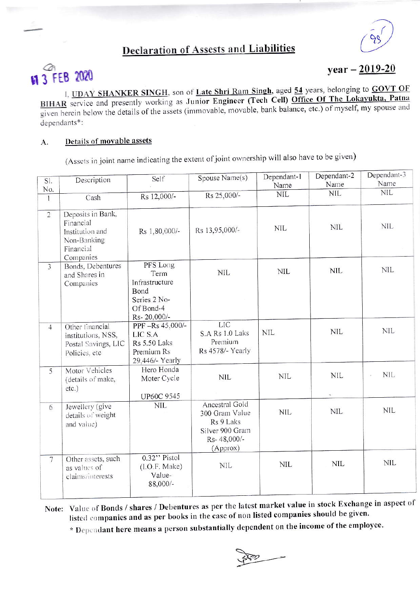## **Declaration of Assests and Liabilities**



# 11 3 FEB 2020

 $year - 2019-20$ 

I, UDAY SHANKER SINGH, son of Late Shri Ram Singh, aged 54 years, belonging to GOVT OF BIHAR service and presently working as Junior Engineer (Tech Cell) Office Of The Lokayukta, Patna given herein below the details of the assets (immovable, movable, bank balance, etc.) of myself, my spouse and dependants\*:

#### Details of movable assets A.

(Assets in joint name indicating the extent of joint ownership will also have to be given)

| Sl.                     | Description                                                                                | Self                                                                                   | Spouse Name(s)                                                                              | Dependant-1<br>Name | Dependant-2<br>Name | Dependant-3<br>Name |
|-------------------------|--------------------------------------------------------------------------------------------|----------------------------------------------------------------------------------------|---------------------------------------------------------------------------------------------|---------------------|---------------------|---------------------|
| No.                     |                                                                                            |                                                                                        |                                                                                             | <b>NIL</b>          | <b>NIL</b>          | <b>NIL</b>          |
| $\mathbf{I}$            | Cash                                                                                       | Rs 12,000/-                                                                            | Rs 25,000/-                                                                                 |                     |                     |                     |
| $\overline{2}$          | Deposits in Bank,<br>Financial<br>Institution and<br>Non-Banking<br>Financial<br>Companies | Rs 1,80,000/-                                                                          | Rs 13,95,000/-                                                                              | <b>NIL</b>          | <b>NIL</b>          | <b>NIL</b>          |
| $\overline{\mathbf{3}}$ | Bonds, Debentures<br>and Shares in<br>Companies                                            | PFS Long<br>Term<br>Infrastructure<br>Bond<br>Series 2 No-<br>Of Bond-4<br>Rs-20,000/- | <b>NIL</b>                                                                                  | <b>NIL</b>          | <b>NIL</b>          | <b>NIL</b>          |
| $\overline{4}$          | Other financial<br>institutions, NSS,<br>Postal Savings, LIC<br>Policies, etc              | PPF-Rs 45,000/-<br>LIC S.A<br><b>Rs 5.50 Laks</b><br>Premium Rs<br>29,446/- Yearly     | <b>LIC</b><br>S.A Rs 1.0 Laks<br>Premium<br>Rs 4578/- Yearly                                | <b>NIL</b>          | <b>NIL</b>          | <b>NIL</b>          |
| 5                       | Motor Vehicles<br>(details of make,<br>$etc.$ )                                            | Hero Honda<br>Moter Cycle<br><b>UP60C 9545</b>                                         | <b>NIL</b>                                                                                  | <b>NIL</b>          | <b>NIL</b>          | <b>NIL</b>          |
| 6                       | Jewellery (give<br>details of weight<br>and value)                                         | <b>NIL</b>                                                                             | Ancestral Gold<br>300 Gram Value<br>Rs 9 Laks<br>Silver 900 Gram<br>Rs-48,000/-<br>(Approx) | <b>NIL</b>          | <b>NIL</b>          | <b>NIL</b>          |
| $7\overline{ }$         | Other assets, such<br>as values of<br>claims/interests                                     | 0.32" Pistol<br>(I.O.F. Make)<br>Value-<br>88,000/-                                    | <b>NIL</b>                                                                                  | <b>NIL</b>          | <b>NIL</b>          | <b>NIL</b>          |

Note: Value of Bonds / shares / Debentures as per the latest market value in stock Exchange in aspect of listed companies and as per books in the case of non listed companies should be given.

\* Dependant here means a person substantially dependent on the income of the employee.

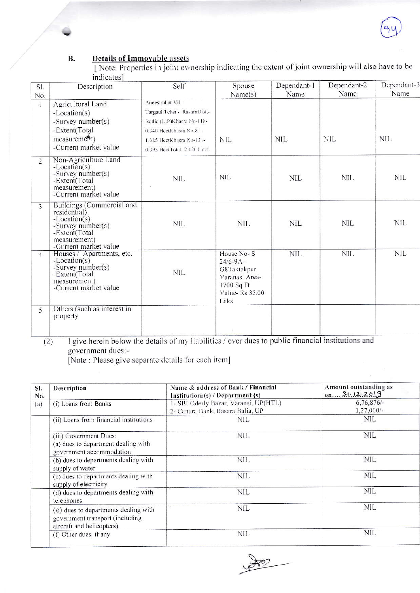

### **Details of Immovable assets B.**

[Note: Properties in joint ownership indicating the extent of joint ownership will also have to be indicates]

| SI.<br>No.     | Description                                                                                                                                | Self                                                                                                                                                                    | Spouse<br>Name(s)                                                                                    | Dependant-1<br>Name | Dependant-2<br>Name | Dependant-3<br>Name |
|----------------|--------------------------------------------------------------------------------------------------------------------------------------------|-------------------------------------------------------------------------------------------------------------------------------------------------------------------------|------------------------------------------------------------------------------------------------------|---------------------|---------------------|---------------------|
| $\mathbf{1}$   | Agricultural Land<br>-Location(s)<br>-Survey number(s)<br>-Extent(Total<br>measurement)<br>-Current market value                           | Ancestral at Vill-<br>TargauliTehsil- RasaraDistt-<br>Ballia (U.P)Khasra No-118-<br>0.340 HeetKhasra No-81-<br>1.385 HeetKhasra No-131-<br>0.395 HectTotal- 2.120 Hect. | <b>NIL</b>                                                                                           | NIL                 | <b>NIL</b>          | <b>NIL</b>          |
| $\overline{2}$ | Non-Agriculture Land<br>$-Location(s)$<br>-Survey number(s)<br>-Extent(Total<br>measurement)<br>-Current market value                      | <b>NIL</b><br>15                                                                                                                                                        | <b>NIL</b>                                                                                           | <b>NIL</b>          | <b>NIL</b>          | <b>NIL</b>          |
| 3              | Buildings (Commercial and<br>residential)<br>$-Location(s)$<br>-Survey number(s)<br>-Extent(Total<br>measurement)<br>-Current market value | NIL                                                                                                                                                                     | <b>NIL</b>                                                                                           | <b>NIL</b>          | <b>NIL</b>          | <b>NIL</b>          |
| $\overline{4}$ | Houses / Apartments, etc.<br>$-Location(s)$<br>-Survey number(s)<br>-Extent(Total<br>measurement)<br>-Current market value                 | NIL.                                                                                                                                                                    | House No-S<br>$24/6 - 9A -$<br>G8Taktakpur<br>Varanasi Area-<br>1700 Sq.Ft<br>Value-Rs 35.00<br>Laks | <b>NIL</b>          | <b>NIL</b>          | <b>NIL</b>          |
| 5              | Others (such as interest in<br>property                                                                                                    |                                                                                                                                                                         | u.                                                                                                   |                     |                     |                     |

I give herein below the details of my liabilities / over dues to public financial institutions and  $(2)$ government dues:-

[Note : Please give separate details for each item]

| SI.<br>No. | Description                                                                                          | Name & address of Bank / Financial<br>Institutions(s) / Department $(s)$  | Amount outstanding as<br>0n3112:2019 |  |
|------------|------------------------------------------------------------------------------------------------------|---------------------------------------------------------------------------|--------------------------------------|--|
| (a)        | (i) Loans from Banks                                                                                 | 1- SBI Oderly Bazar, Varansi, UP(HTL)<br>2- Canara Bank, Rasara Balia, UP | $6,76,876/-$<br>$1,27,000/-$         |  |
|            | (ii) Loans from financial institutions                                                               | nil                                                                       | NIL                                  |  |
|            | (iii) Government Dues:<br>(a) dues to department dealing with<br>government accommodation            | NIL                                                                       | NIL                                  |  |
|            | (b) dues to departments dealing with<br>supply of water                                              | NIL                                                                       | NIL                                  |  |
|            | (c) dues to departments dealing with<br>supply of electricity                                        | NIL                                                                       | <b>NIL</b>                           |  |
|            | (d) dues to departments dealing with<br>telephones                                                   | NIL                                                                       | <b>NIL</b>                           |  |
|            | (e) dues to departments dealing with<br>government transport (including<br>aircraft and helicopters) | NIL                                                                       | <b>NIL</b>                           |  |
|            | (f) Other dues, if any                                                                               | NIL                                                                       | <b>NIL</b>                           |  |

 $\gg$